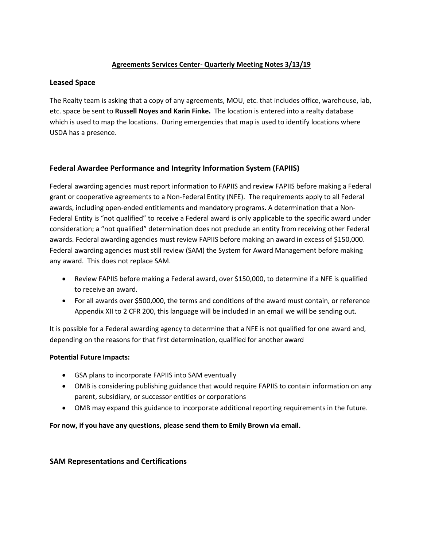# **Agreements Services Center- Quarterly Meeting Notes 3/13/19**

#### **Leased Space**

The Realty team is asking that a copy of any agreements, MOU, etc. that includes office, warehouse, lab, etc. space be sent to **Russell Noyes and Karin Finke.** The location is entered into a realty database which is used to map the locations. During emergencies that map is used to identify locations where USDA has a presence.

## **Federal Awardee Performance and Integrity Information System (FAPIIS)**

Federal awarding agencies must report information to FAPIIS and review FAPIIS before making a Federal grant or cooperative agreements to a Non-Federal Entity (NFE). The requirements apply to all Federal awards, including open-ended entitlements and mandatory programs. A determination that a Non-Federal Entity is "not qualified" to receive a Federal award is only applicable to the specific award under consideration; a "not qualified" determination does not preclude an entity from receiving other Federal awards. Federal awarding agencies must review FAPIIS before making an award in excess of \$150,000. Federal awarding agencies must still review (SAM) the System for Award Management before making any award. This does not replace SAM.

- Review FAPIIS before making a Federal award, over \$150,000, to determine if a NFE is qualified to receive an award.
- For all awards over \$500,000, the terms and conditions of the award must contain, or reference Appendix XII to 2 CFR 200, this language will be included in an email we will be sending out.

It is possible for a Federal awarding agency to determine that a NFE is not qualified for one award and, depending on the reasons for that first determination, qualified for another award

## **Potential Future Impacts:**

- GSA plans to incorporate FAPIIS into SAM eventually
- OMB is considering publishing guidance that would require FAPIIS to contain information on any parent, subsidiary, or successor entities or corporations
- OMB may expand this guidance to incorporate additional reporting requirements in the future.

**For now, if you have any questions, please send them to Emily Brown via email.**

## **SAM Representations and Certifications**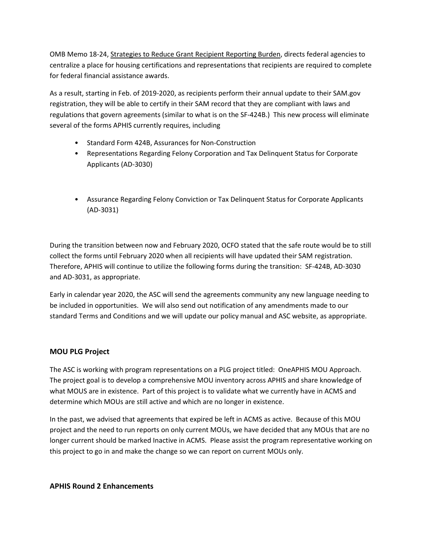OMB Memo 18-24, Strategies to Reduce Grant Recipient Reporting Burden, directs federal agencies to centralize a place for housing certifications and representations that recipients are required to complete for federal financial assistance awards.

As a result, starting in Feb. of 2019-2020, as recipients perform their annual update to their SAM.gov registration, they will be able to certify in their SAM record that they are compliant with laws and regulations that govern agreements (similar to what is on the SF-424B.) This new process will eliminate several of the forms APHIS currently requires, including

- Standard Form 424B, Assurances for Non-Construction
- Representations Regarding Felony Corporation and Tax Delinquent Status for Corporate Applicants (AD-3030)
- Assurance Regarding Felony Conviction or Tax Delinquent Status for Corporate Applicants (AD-3031)

During the transition between now and February 2020, OCFO stated that the safe route would be to still collect the forms until February 2020 when all recipients will have updated their SAM registration. Therefore, APHIS will continue to utilize the following forms during the transition: SF-424B, AD-3030 and AD-3031, as appropriate.

Early in calendar year 2020, the ASC will send the agreements community any new language needing to be included in opportunities. We will also send out notification of any amendments made to our standard Terms and Conditions and we will update our policy manual and ASC website, as appropriate.

## **MOU PLG Project**

The ASC is working with program representations on a PLG project titled: OneAPHIS MOU Approach. The project goal is to develop a comprehensive MOU inventory across APHIS and share knowledge of what MOUS are in existence. Part of this project is to validate what we currently have in ACMS and determine which MOUs are still active and which are no longer in existence.

In the past, we advised that agreements that expired be left in ACMS as active. Because of this MOU project and the need to run reports on only current MOUs, we have decided that any MOUs that are no longer current should be marked Inactive in ACMS. Please assist the program representative working on this project to go in and make the change so we can report on current MOUs only.

**APHIS Round 2 Enhancements**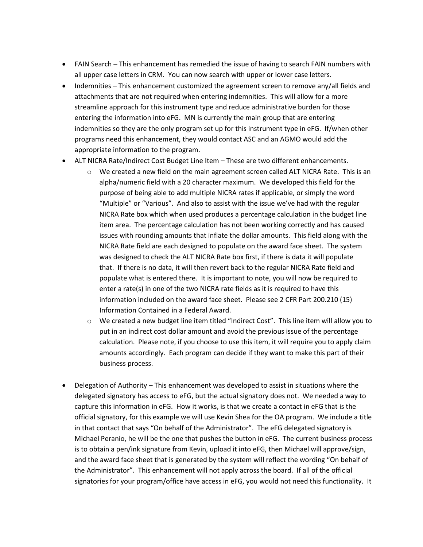- FAIN Search This enhancement has remedied the issue of having to search FAIN numbers with all upper case letters in CRM. You can now search with upper or lower case letters.
- Indemnities This enhancement customized the agreement screen to remove any/all fields and attachments that are not required when entering indemnities. This will allow for a more streamline approach for this instrument type and reduce administrative burden for those entering the information into eFG. MN is currently the main group that are entering indemnities so they are the only program set up for this instrument type in eFG. If/when other programs need this enhancement, they would contact ASC and an AGMO would add the appropriate information to the program.
- ALT NICRA Rate/Indirect Cost Budget Line Item These are two different enhancements.
	- $\circ$  We created a new field on the main agreement screen called ALT NICRA Rate. This is an alpha/numeric field with a 20 character maximum. We developed this field for the purpose of being able to add multiple NICRA rates if applicable, or simply the word "Multiple" or "Various". And also to assist with the issue we've had with the regular NICRA Rate box which when used produces a percentage calculation in the budget line item area. The percentage calculation has not been working correctly and has caused issues with rounding amounts that inflate the dollar amounts. This field along with the NICRA Rate field are each designed to populate on the award face sheet. The system was designed to check the ALT NICRA Rate box first, if there is data it will populate that. If there is no data, it will then revert back to the regular NICRA Rate field and populate what is entered there. It is important to note, you will now be required to enter a rate(s) in one of the two NICRA rate fields as it is required to have this information included on the award face sheet. Please see 2 CFR Part 200.210 (15) Information Contained in a Federal Award.
	- o We created a new budget line item titled "Indirect Cost". This line item will allow you to put in an indirect cost dollar amount and avoid the previous issue of the percentage calculation. Please note, if you choose to use this item, it will require you to apply claim amounts accordingly. Each program can decide if they want to make this part of their business process.
- Delegation of Authority This enhancement was developed to assist in situations where the delegated signatory has access to eFG, but the actual signatory does not. We needed a way to capture this information in eFG. How it works, is that we create a contact in eFG that is the official signatory, for this example we will use Kevin Shea for the OA program. We include a title in that contact that says "On behalf of the Administrator". The eFG delegated signatory is Michael Peranio, he will be the one that pushes the button in eFG. The current business process is to obtain a pen/ink signature from Kevin, upload it into eFG, then Michael will approve/sign, and the award face sheet that is generated by the system will reflect the wording "On behalf of the Administrator". This enhancement will not apply across the board. If all of the official signatories for your program/office have access in eFG, you would not need this functionality. It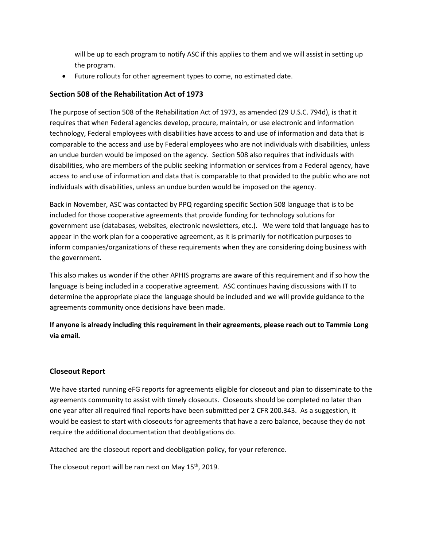will be up to each program to notify ASC if this applies to them and we will assist in setting up the program.

• Future rollouts for other agreement types to come, no estimated date.

#### **Section 508 of the Rehabilitation Act of 1973**

The purpose of section 508 of the Rehabilitation Act of 1973, as amended (29 U.S.C. 794d), is that it requires that when Federal agencies develop, procure, maintain, or use electronic and information technology, Federal employees with disabilities have access to and use of information and data that is comparable to the access and use by Federal employees who are not individuals with disabilities, unless an undue burden would be imposed on the agency. Section 508 also requires that individuals with disabilities, who are members of the public seeking information or services from a Federal agency, have access to and use of information and data that is comparable to that provided to the public who are not individuals with disabilities, unless an undue burden would be imposed on the agency.

Back in November, ASC was contacted by PPQ regarding specific Section 508 language that is to be included for those cooperative agreements that provide funding for technology solutions for government use (databases, websites, electronic newsletters, etc.). We were told that language has to appear in the work plan for a cooperative agreement, as it is primarily for notification purposes to inform companies/organizations of these requirements when they are considering doing business with the government.

This also makes us wonder if the other APHIS programs are aware of this requirement and if so how the language is being included in a cooperative agreement. ASC continues having discussions with IT to determine the appropriate place the language should be included and we will provide guidance to the agreements community once decisions have been made.

**If anyone is already including this requirement in their agreements, please reach out to Tammie Long via email.** 

#### **Closeout Report**

We have started running eFG reports for agreements eligible for closeout and plan to disseminate to the agreements community to assist with timely closeouts. Closeouts should be completed no later than one year after all required final reports have been submitted per 2 CFR 200.343. As a suggestion, it would be easiest to start with closeouts for agreements that have a zero balance, because they do not require the additional documentation that deobligations do.

Attached are the closeout report and deobligation policy, for your reference.

The closeout report will be ran next on May 15<sup>th</sup>, 2019.